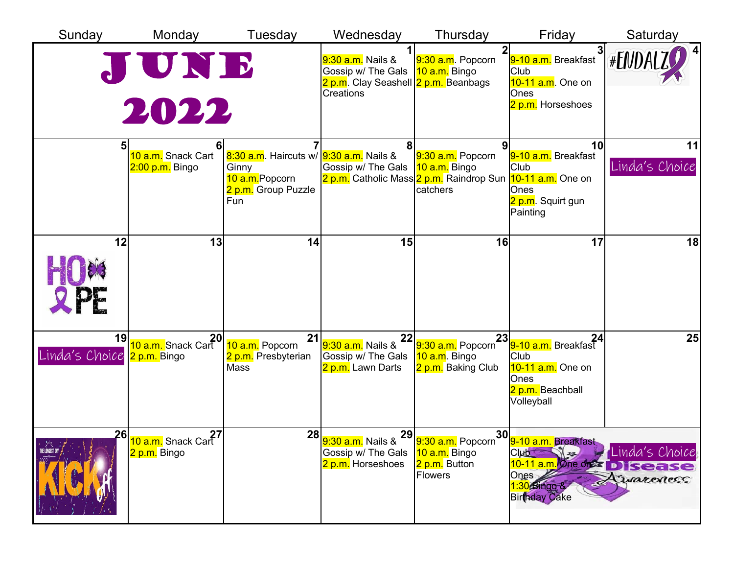| Sunday                            | Monday                                             | Tuesday                                                                                          | Wednesday                                                                                                    | Thursday                                                                                   | Friday                                                                                                                                 | Saturday                     |
|-----------------------------------|----------------------------------------------------|--------------------------------------------------------------------------------------------------|--------------------------------------------------------------------------------------------------------------|--------------------------------------------------------------------------------------------|----------------------------------------------------------------------------------------------------------------------------------------|------------------------------|
|                                   | JUNE<br>2022                                       |                                                                                                  | 9:30 a.m. Nails &<br>Gossip w/ The Gals<br><mark>2 p.m</mark> . Clay Seashell 2 p.m. Beanbags<br>Creations   | 9:30 a.m. Popcorn<br>10 a.m. Bingo                                                         | 9-10 a.m. Breakfast<br>Club<br>10-11 a.m. One on<br>Ones<br>2 p.m. Horseshoes                                                          | $\vert$ 4<br>#ENDALZ         |
|                                   | 10 a.m. Snack Cart<br>2:00 p.m. Bingo              | 8:30 a.m. Haircuts w/ 9:30 a.m. Nails &<br>Ginny<br>10 a.m.Popcorn<br>2 p.m. Group Puzzle<br>Fun | Gossip w/ The Gals                                                                                           | 9:30 a.m. Popcorn<br>10 a.m. Bingo<br>2 p.m. Catholic Mass 2 p.m. Raindrop Sun<br>catchers | 10<br>9-10 a.m. Breakfast<br><b>Club</b><br>10-11 a.m. One on<br>Ones<br><mark>2 p.m</mark> . Squirt gun<br>Painting                   | 11<br>Linda's Choice         |
| 12<br><b>OPF</b>                  | 13                                                 | 14                                                                                               | 15                                                                                                           | 16                                                                                         | 17                                                                                                                                     | 18                           |
| 19<br>Linda's Choice 2 p.m. Bingo | 20<br><mark>10 a.m.</mark> Snack Cart              | 21<br>10 a.m. Popcorn<br>2 p.m. Presbyterian<br>Mass                                             | <mark>9:30 a.m.</mark> Nails &<br>Gossip w/ The Gals<br>2 p.m. Lawn Darts                                    | 9:30 a.m. Popcorn<br>10 a.m. Bingo<br>2 p.m. Baking Club                                   | <b>24</b> .<br><mark>9-10 a.m.</mark> Breakfast 1.<br>Club<br>10-11 a.m. One on<br>Ones<br><mark>2 p.m.</mark> Beachball<br>Volleyball | 25                           |
| THE LONGEST DAY                   | 27 <mark>10 a.m.</mark> Snack Cart<br>2 p.m. Bingo |                                                                                                  | <mark>9:30 a.m.</mark> Nails & 29 9:30 a.m. Popcorn <sup>31</sup><br>Gossip w/ The Gals<br>2 p.m. Horseshoes | 10 a.m. Bingo<br>2 p.m. Button<br><b>Flowers</b>                                           | . 30∣<br>∩ <mark>9-10 a.m. Breakfast,</mark><br>Club<br>10-11 a.m. One of the Disease<br>Ones<br>1:30 Bingo &<br><b>Birthday Cake</b>  | Linda's Choice<br>Livareness |